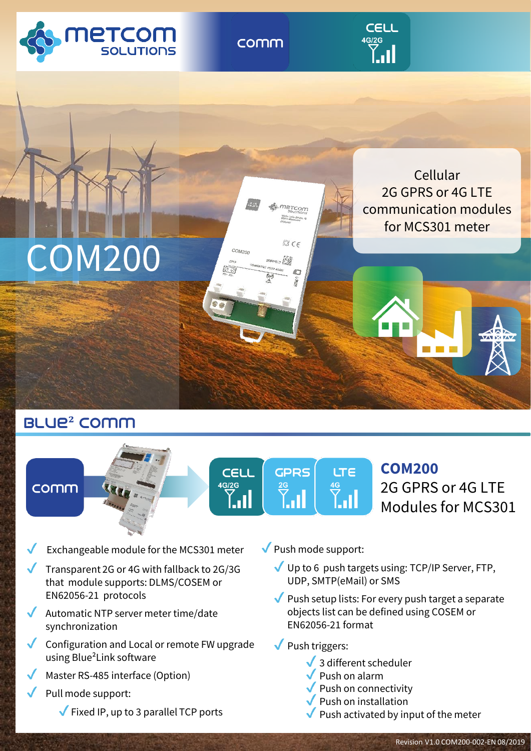

comm





# blue**²** Comm

## comm







**COM200** 2G GPRS or 4G LTE Modules for MCS301

- Exchangeable module for the MCS301 meter
- Transparent 2G or 4G with fallback to 2G/3G that module supports: DLMS/COSEM or EN62056-21 protocols
- Automatic NTP server meter time/date synchronization
- Configuration and Local or remote FW upgrade using Blue²Link software
- Master RS-485 interface (Option)
- Pull mode support:
	- $\sqrt{\phantom{a}}$  Fixed IP, up to 3 parallel TCP ports
- $\sqrt{\frac{P_{\text{N}}}{P_{\text{N}}}}$  Push mode support:
	- Up to 6 push targets using: TCP/IP Server, FTP, UDP, SMTP(eMail) or SMS
	- $\blacktriangledown$  Push setup lists: For every push target a separate objects list can be defined using COSEM or EN62056-21 format
	- $\sqrt{\frac{P_{\text{N}}}{P_{\text{N}}}}$  Push triggers:
		- $\sqrt{3}$  different scheduler
		- $\sqrt{\frac{P_{\text{u}}}{P_{\text{u}}}}$  Push on alarm
		- $\sqrt{\frac{1}{2}}$  Push on connectivity
		- Push on installation
		- Push activated by input of the meter